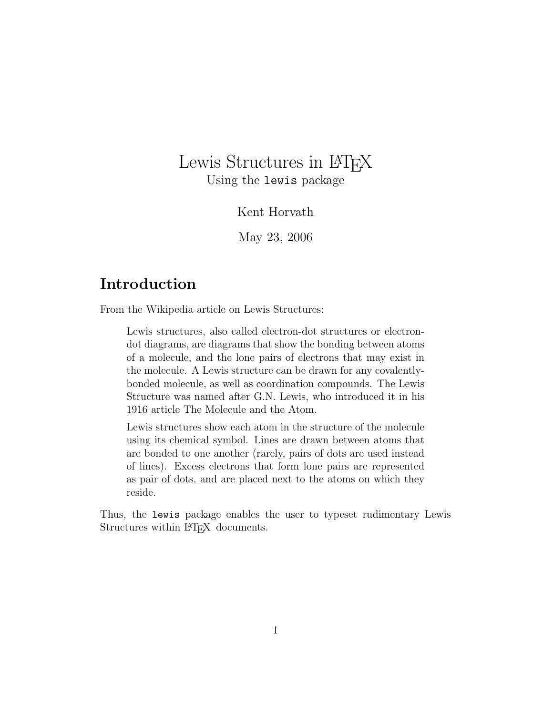## Lewis Structures in LAT<sub>E</sub>X Using the lewis package

Kent Horvath

May 23, 2006

## Introduction

From the Wikipedia article on Lewis Structures:

Lewis structures, also called electron-dot structures or electrondot diagrams, are diagrams that show the bonding between atoms of a molecule, and the lone pairs of electrons that may exist in the molecule. A Lewis structure can be drawn for any covalentlybonded molecule, as well as coordination compounds. The Lewis Structure was named after G.N. Lewis, who introduced it in his 1916 article The Molecule and the Atom.

Lewis structures show each atom in the structure of the molecule using its chemical symbol. Lines are drawn between atoms that are bonded to one another (rarely, pairs of dots are used instead of lines). Excess electrons that form lone pairs are represented as pair of dots, and are placed next to the atoms on which they reside.

Thus, the lewis package enables the user to typeset rudimentary Lewis Structures within LAT<sub>EX</sub> documents.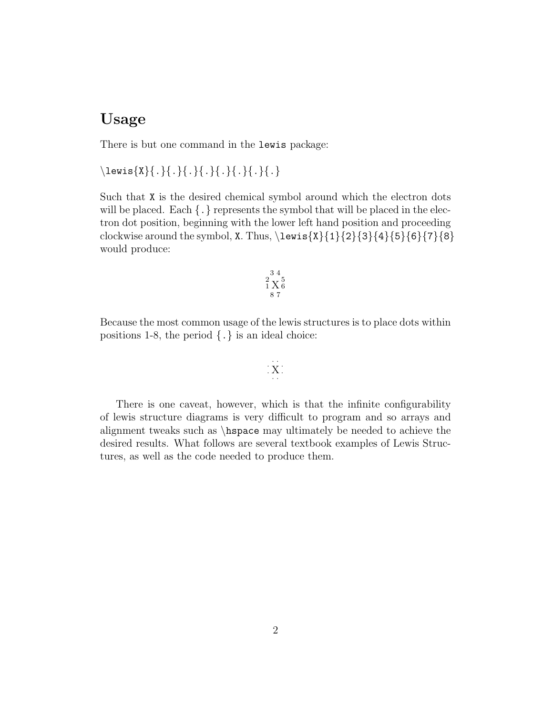## Usage

There is but one command in the lewis package:

 $\text{x}{.}{.}{.}{}{.}{.}{}{.}$ 

Such that X is the desired chemical symbol around which the electron dots will be placed. Each  $\{\cdot\}$  represents the symbol that will be placed in the electron dot position, beginning with the lower left hand position and proceeding clockwise around the symbol, X. Thus,  $\text{X}\$  {1}{2}{3}{4}{5}{6}{7}{8} would produce:

$$
\begin{smallmatrix}&&3&4\\2&X&5\\1&X&6\\8&7\end{smallmatrix}
$$

Because the most common usage of the lewis structures is to place dots within positions 1-8, the period  $\{.\}$  is an ideal choice:

$$
\frac{1}{2}\sum_{i=1}^{n-1}
$$

There is one caveat, however, which is that the infinite configurability of lewis structure diagrams is very difficult to program and so arrays and alignment tweaks such as \hspace may ultimately be needed to achieve the desired results. What follows are several textbook examples of Lewis Structures, as well as the code needed to produce them.